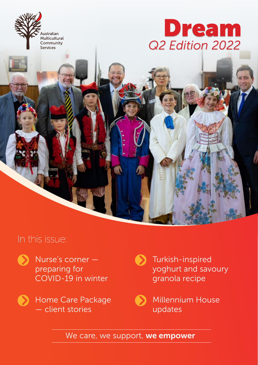

# *Q2 Edition 2022* Dream

## In this issue:



Nurse's corner preparing for COVID-19 in winter

- Home Care Package — client stories
- $\bullet$ Turkish-inspired yoghurt and savoury granola recipe

Millennium House updates

We care, we support, we empower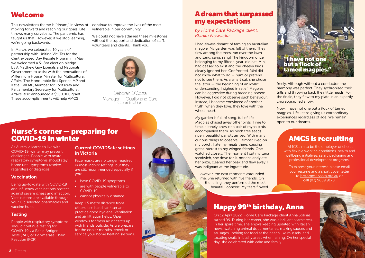## Welcome

This newsletter's theme is "dream," in views of moving forward and reaching our goals. Life throws many curveballs. The pandemic has taught us that. However, if we stop learning, we're going backwards.

In March, we celebrated 10 years of partnership with Uniting Vic. Tas for the Centre-based Day Respite Program. In May, we welcomed a \$1.8m election pledge by A Matthew Guy Liberals and Nationals Government to assist with the renovations of Millennium House. Minister for Multicultural Affairs, The Honourable Ros Spence MP and Katie Hall MP, Member for Footscray and Parliamentary Secretary for Multicultural Affairs, also announced a \$500,000 grant. These accomplishments will help AMCS

continue to improve the lives of the most vulnerable in our community.

We could not have attained these milestones without the support and dedication of staff, volunteers and clients. Thank you.



- have COVID-19 symptoms
- are with people vulnerable to COVID-19
- cannot physically distance.

Deborah D'Costa Manager — Quality and Care Coordination

**MP** 

### Nurse's corner — preparing for COVID-19 in winter

As Australia learns to live with COVID-19, winter may present challenges. People with acute respiratory symptoms should stay home until symptoms resolve, regardless of diagnosis.

### **Vaccination**

Being up-to-date with COVID-19 and influenza vaccinations protect against severe illness and infection. Vaccinations are available through your GP, selected pharmacies and vaccine hubs.

### **Testing**

People with respiratory symptoms should continue testing for COVID-19 via Rapid Antigen Tests (RAT) or Polymerase Chain Reaction (PCR).

### Current COVIDSafe settings in Victoria

Face masks are no longer required in most indoor settings, but they are still recommended especially if you:

Keep 1.5 metre distance from others, use hand sanitiser and practice good hygiene. Ventilation and air filtration helps. Open windows for fresh air or catch up with friends outside. As we prepare for the cooler months, check or service your home heating systems. I had always dreamt of taming an Australian magpie. My garden was full of them. They flew among the trees, ran over the lawn and sang, sang, sang! The kingdom once belonging to my fifteen-year-old cat, Mini, had ceased to exist and the cheeky birds clearly ignored her. Confronted, Mini did not know what to do — hunt or pretend not to see them. As a smart cat, she chose the latter  $-$  the beginning of an idyllic understanding. I sighed in relief. Magpies can be aggressive during breeding season. However, I did not observe such behaviour. Instead, I became convinced of another truth: when they love, they love with the whole heart.

My garden is full of song, full of life. Magpies chased away other birds. Time to time, a lonely crow or a pair of myna birds accompanied them. As birch tree seeds ripen, beautiful parrots arrived. With many curious things to observe, I almost lived on my porch. I ate my meals there, causing great interest to my winged friends. One watched closely. The moment I cut my tuna sandwich, she dove for it, nonchalantly ate her prize, cleaned her beak and flew away. I was indignant at the ingratitude.

However, the next moments astounded me. She returned with five friends. On the railing, they performed the most beautiful concert. My tears flowed

## Happy 99th birthday, Anna

On 12 April 2022, Home Care Package client Anna Solinas turned 99. During her career, she was a brilliant seamstress. In her spare time, she enjoys keeping updated with Italian news, watching animal documentaries, making sauces and sausages, looking for food at the beach like mussels, and locating snails in bushy areas when raining. On her special day, she celebrated with cake and family.

freely. Although without a conductor, the harmony was perfect. They sychronised their trills and throwing back their little heads. For the finale, they flew to my plate in an expertly choreographed show.

Now, I have not one but a flock of tamed magpies. Life keeps giving us extraordinary experiences regardless of age. We remain open to our dreams.

> AMCS aim to be the employer of choice with flexible working conditions, health and wellbeing initiatives, salary packaging and professional development programs.

To express your interest, please email your resume and a short cover letter to [hr@amcservices.org.au](mailto:hr@amcservices.org.au) or call (03) 9689 9170.



## A dream that surpassed my expectations

### *by Home Care Package client, Blanka Nowacka*

## AMCS is recruiting

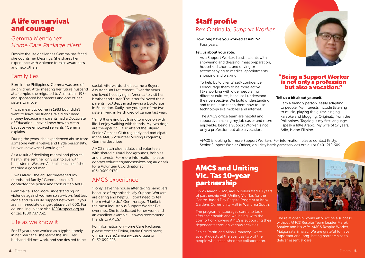## Staff profile Rex Obtinalla, *Support Worker*

#### Tell us a bit about yourself.

I am a friendly person, easily adapting to people. My interests include listening to music, playing the guitar, singing karaoke and blogging. Originally from the Philippines, Tagalog is my first language. I speak a little Arabic. My wife of 17 years, Arlin, is also Filipino.



### "Being a Support Worker is not only a profession but also a vocation."

## A life on survival and courage

### Gemma Mendonez *Home Care Package client*

Despite the life challenges Gemma has faced, she counts her blessings. She shares her experience with violence to raise awareness and help others.

### Family ties

Born in the Philippines, Gemma was one of six children. After meeting her future husband at a temple, she migrated to Australia in 1984 and sponsored her parents and one of her sisters to move.

"I was meant to come in 1983 but I didn't want to leave my friends. We didn't need money because my parents had a Doctorate of Education. I never knew how to clean because we employed servants," Gemma explains.

During the years, she experienced abuse from someone with a "Jekyll and Hyde personality. I never knew what I would get."

As a result of declining mental and physical health, she sent her only son to live with her sister in Western Australia because, "she married a good man."

"I was afraid…the abuser threatened my friends and family," Gemma recalls. "I contacted the police and took out an AVO."

Gemma calls for more understanding on violence against women so survivors feel less alone and can build support networks. If you are in immediate danger, please call 000. For counselling, please visit [1800respect.org.au](http://www.1800respect.org.au) or call 1800 737 732.

### Life as we know it

For 17 years, she worked as a typist. Lonely in her marriage, she learnt the skill. Her husband did not work, and she desired to be



social. Afterwards, she became a Buyers Assistant until retirement. Over the years, she loved holidaying in America to visit her brother and sister. The latter followed their parents' footsteps in achieving a Doctorate in Education. Sadly, her younger of the two sisters living in Perth died of cancer last year.

"I'm still grieving but trying to move on with life. I enjoy walking with friends. My two dogs are therapeutic. I also attend the Filipino Senior Citizens Club regularly and participate in the AMCS Volunteer Visiting Programs," Gemma describes.

AMCS match older adults and volunteers with shared cultural backgrounds, hobbies and interests. For more information, please contact [volunteer@amcservices.org.au](mailto:volunteer@amcservices.org.au) or ask for a Volunteer Coordinator at (03) 9689 9170.

### AMCS experience

"I only leave the house after taking painkillers because of my arthritis. My Support Workers are caring and helpful. I don't need to tell them what to do," Gemma says. "Marila is the most industrious Support Worker I've ever met. She is dedicated to her work and an excellent example. I always recommend friends to AMCS."

For information on Home Care Packages, please contact Eloina, Intake Coordinator, on [homecare@amcservices.org.au](mailto:homecare@amcservices.org.au) or 0432 099 225.

## AMCS and Uniting Vic. Tas 10-year partnership

On 23 March 2022, AMCS celebrated 10 years of partnership with Uniting Vic. Tas for the Centre-based Day Respite Program at Knox Gardens Community Hall in Wantirna South.

The program encourages carers to look after their health and wellbeing, with the comfort of knowing AMCS is supporting their dependants through various activities.

Janice Parfitt and Alina Urbanczyk were special guests at the event as two of the people who established the collaboration.



AMCS is looking for more Support Workers. For information, please contact Kristy, Senior Support Worker Officer, on [kristy.harris@amcservices.org.au](mailto:kristy.harris@amcservices.org.au) or 0401 219 609.

#### How long have you worked at AMCS? Four years.

#### Tell us about your role.

As a Support Worker, I assist clients with showering and dressing, meal preparation, household chores, and driving or accompanying to medical appointments, shopping and walking.

To help build clients' self-confidence, I encourage them to be more active. I like working with older people from different cultures, because I understand their perspective. We build understanding and trust. I also teach them how to use technology like mobiles and internet.

The AMCS office team are helpful and supportive, making my job easier and more enjoyable. Being a Support Worker is not only a profession but also a vocation.

> The relationship would also not be a success without AMCS Respite Team Leader Marek Smalec and his wife, AMCS Respite Worker, Malgorzata Smalec. We are grateful to have important and long-lasting partnerships to deliver essential care.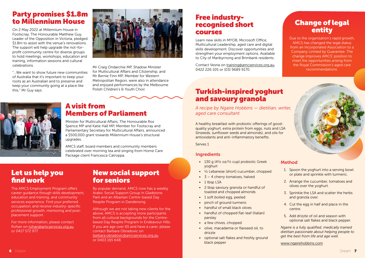### Change of legal entity

Due to the organisation's rapid growth, AMCS has changed the legal status from an Incorporated Association to a Company Limited by Guarantee. The change improves AMCS' position to meet the opportunities arising from the Royal Commission's aged care recommendations.





## Turkish-inspired yoghurt and savoury granola

*A recipe by Ngaire Hobbins — dietitian, writer, aged care consultant*

A healthy breakfast with probiotic offerings of goodquality yoghurt, extra protein from eggs, nuts and LSA (linseeds, sunflower seeds and almonds), and oils for antioxidants and anti-inflammatory benefits.

- 130 g (4½ oz/½ cup) probiotic Greek yoghurt
- ½ Lebanese (short) cucumber, chopped
- 3 4 cherry tomatoes, halved
- 1 tbsp LSA
- 2 tbsp savoury granola or handful of toasted and chopped almonds
- 1 soft boiled egg, peeled
- pinch of ground turmeric
- handful of small black olives
- handful of chopped flat-leaf (Italian) parsley
- a few chives, chopped
- olive, macadamia or flaxseed oil, to drizzle
- optional salt flakes and freshly ground black pepper

Serves 1

### Ingredients

### Method

- 1. Spoon the yoghurt into a serving bowl or plate and sprinkle with turmeric.
- 2. Arrange the cucumber, tomatoes and olives over the yoghurt.
- 3. Sprinkle the LSA and scatter the herbs and granola over.
- 4. Cut the egg in half and place in the centre.
- 5. Add drizzle of oil and season with optional salt flakes and black pepper.

*Ngaire is a fully qualified, medically trained dietitian passionate about helping people to get the best from life and age well.* 

[www.ngairehobbins.com](https://www.ngairehobbins.com)

## Party promises \$1.8m to Millennium House

Mr Craig Ondarchie MP, Shadow Minister<br>
0422 226 105 or (03) 9689 9170. for Multicultural Affairs and Citizenship, and Mr Bernie Finn MP, Member for Western Metropolitan Region, were also in attendance and enjoyed performances by the Melbourne Polish Children's & Youth Choir.



On 2 May 2022 at Millennium House in Footscray, The Honourable Matthew Guy, Leader of the Opposition in Victoria, pledged \$1.8m to assist with the venue's renovations. The support will help upgrade the not-forprofit community centre for diverse groups to hold meetings, workshops, education and training, information sessions and cultural celebrations.

"…We want to show future new communities of Australia that it's important to keep your roots as an Australian and to preserve and keep your community going at a place like this," Mr Guy says.



### A visit from Members of Parliament

Minister for Multicultural Affairs, The Honourable Ros Spence MP and Katie Hall MP, Member for Footscray and Parliamentary Secretary for Multicultural Affairs, announced a \$500,000 grant towards Millennium House's structural upgrades.

AMCS staff, board members and community members celebrated over morning tea and singing from Home Care Package client Francesca Catroppa.

### Let us help you find work

The AMCS Employment Program offers career guidance though skills development, education and training, and community services experience. Find your preferred occupation, and receive industry-specific professional growth, mentoring and postplacement support.

For more information, please contact Rohan on [rohan@amcservices.org.au](mailto:rohan@amcservices.org.au) or 0417 572 977.

## Free industryrecognised short courses

Learn new skills in MYOB, Microsoft Office, Multicultural Leadership, aged care and digital skills development. Discover opportunities and strengthen your employment options. Available to City of Maribyrnong and Brimbank residents.

Contact Vesna on [training@amcservices.org.au,](mailto:training@amcservices.org.au)

### New social support for seniors

By popular demand, AMCS now has a weekly Arabic Social Support Group in Gladstone Park and an Albanian Centre-based Day Respite Program in Dandenong.

Although we are not taking new clients for the above, AMCS is accepting more participants from all cultural backgrounds for the Centrebased Day Respite Program in Endeavour Hills. If you are age over 65 and have a carer, please contact Barbara Obradovic on [barbara.obradovic@amcservices.org.au](mailto:barbara.obradovic@amcservices.org.au) or 0403 165 648.